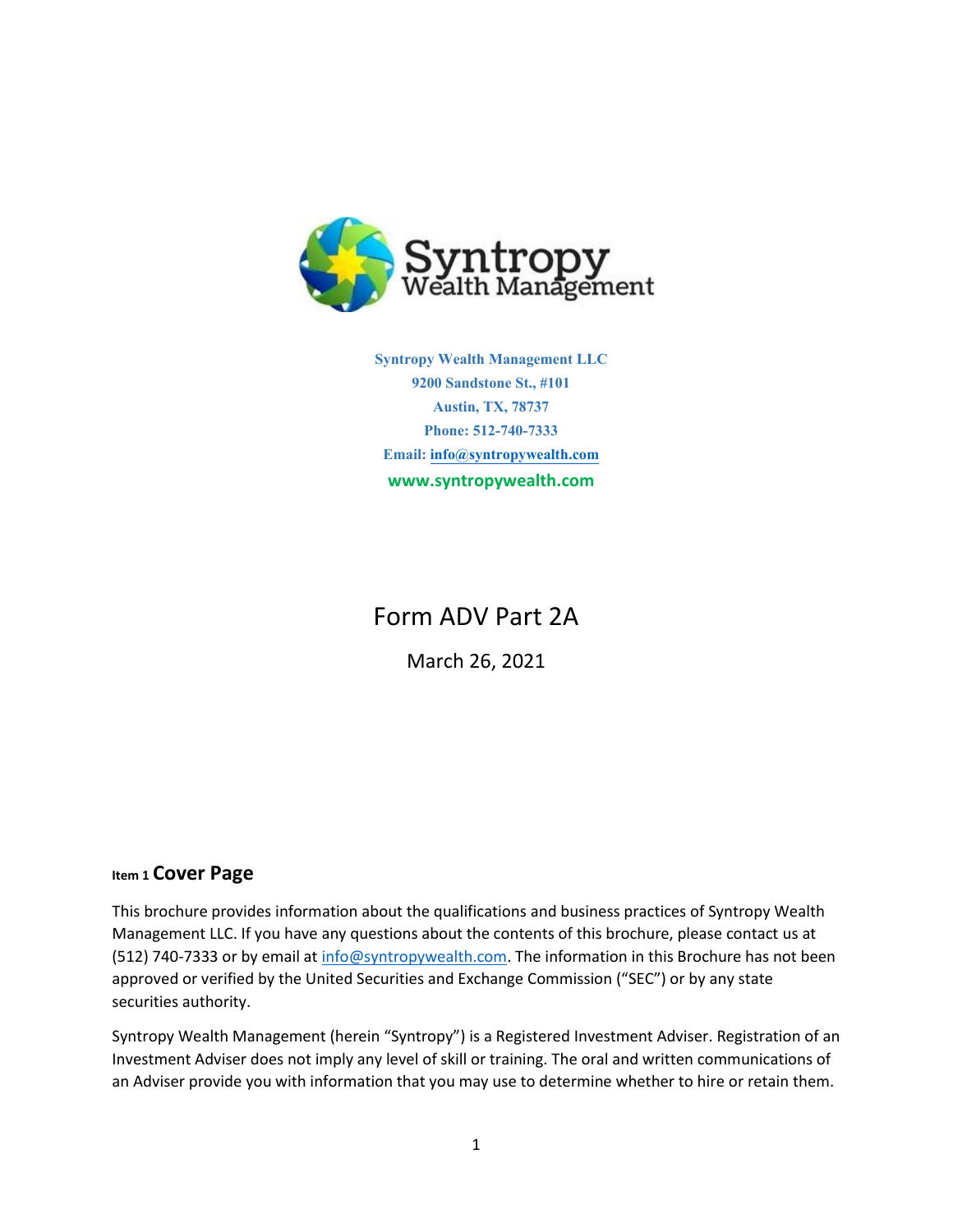

**Syntropy Wealth Management LLC 9200 Sandstone St., #101 Austin, TX, 78737 Phone: 512-740-7333 Email[: info@syntropywealth.com](mailto:info@syntropywealth.com) www.syntropywealth.com**

# Form ADV Part 2A

March 26, 2021

# **Item 1 Cover Page**

This brochure provides information about the qualifications and business practices of Syntropy Wealth Management LLC. If you have any questions about the contents of this brochure, please contact us at (512) 740-7333 or by email a[t info@syntropywealth.com.](mailto:info@syntropywealth.com) The information in this Brochure has not been approved or verified by the United Securities and Exchange Commission ("SEC") or by any state securities authority.

Syntropy Wealth Management (herein "Syntropy") is a Registered Investment Adviser. Registration of an Investment Adviser does not imply any level of skill or training. The oral and written communications of an Adviser provide you with information that you may use to determine whether to hire or retain them.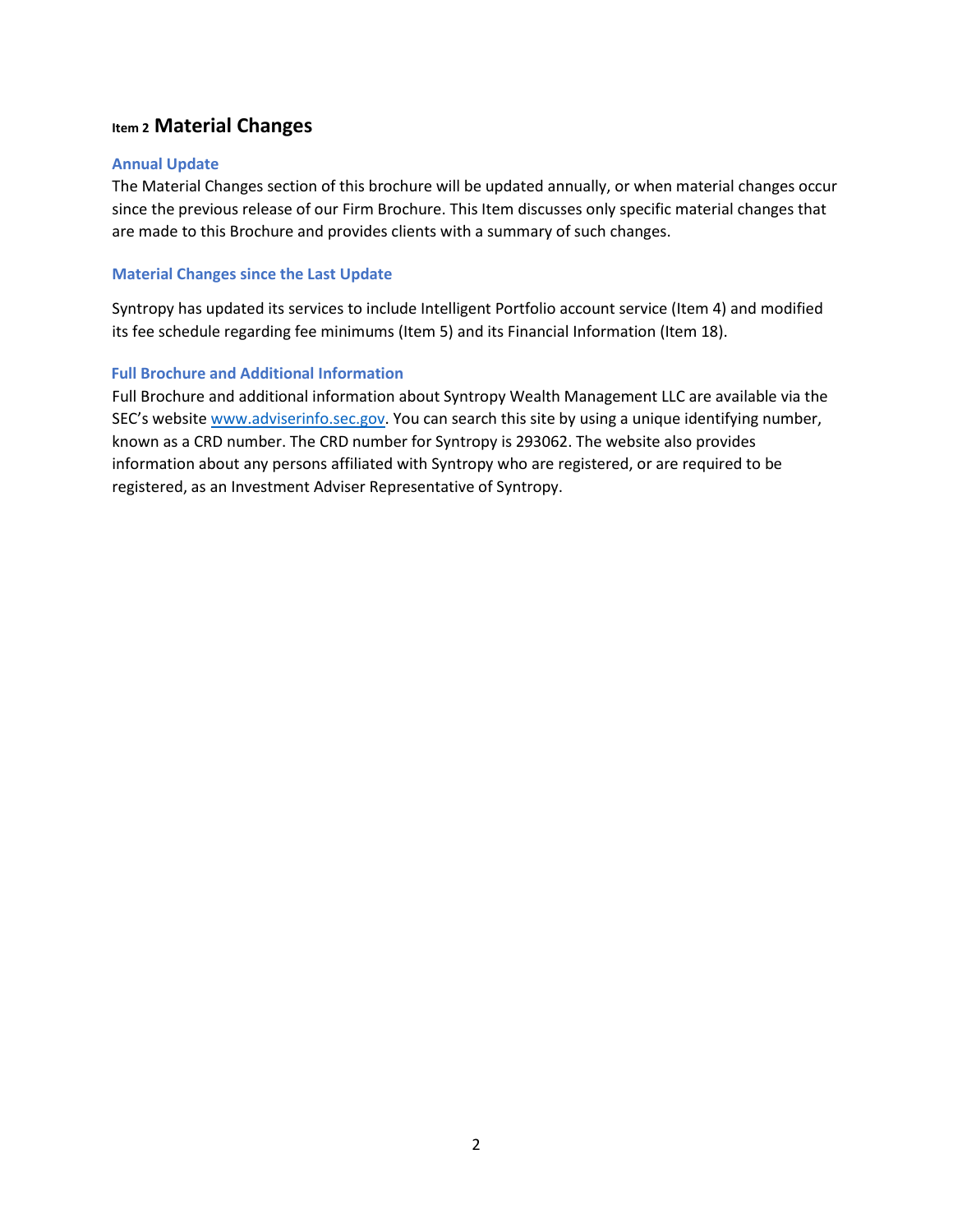# **Item 2 Material Changes**

## **Annual Update**

The Material Changes section of this brochure will be updated annually, or when material changes occur since the previous release of our Firm Brochure. This Item discusses only specific material changes that are made to this Brochure and provides clients with a summary of such changes.

## **Material Changes since the Last Update**

Syntropy has updated its services to include Intelligent Portfolio account service (Item 4) and modified its fee schedule regarding fee minimums (Item 5) and its Financial Information (Item 18).

## **Full Brochure and Additional Information**

Full Brochure and additional information about Syntropy Wealth Management LLC are available via the SEC's website [www.adviserinfo.sec.gov.](http://www.adviserinfo.sec.gov/) You can search this site by using a unique identifying number, known as a CRD number. The CRD number for Syntropy is 293062. The website also provides information about any persons affiliated with Syntropy who are registered, or are required to be registered, as an Investment Adviser Representative of Syntropy.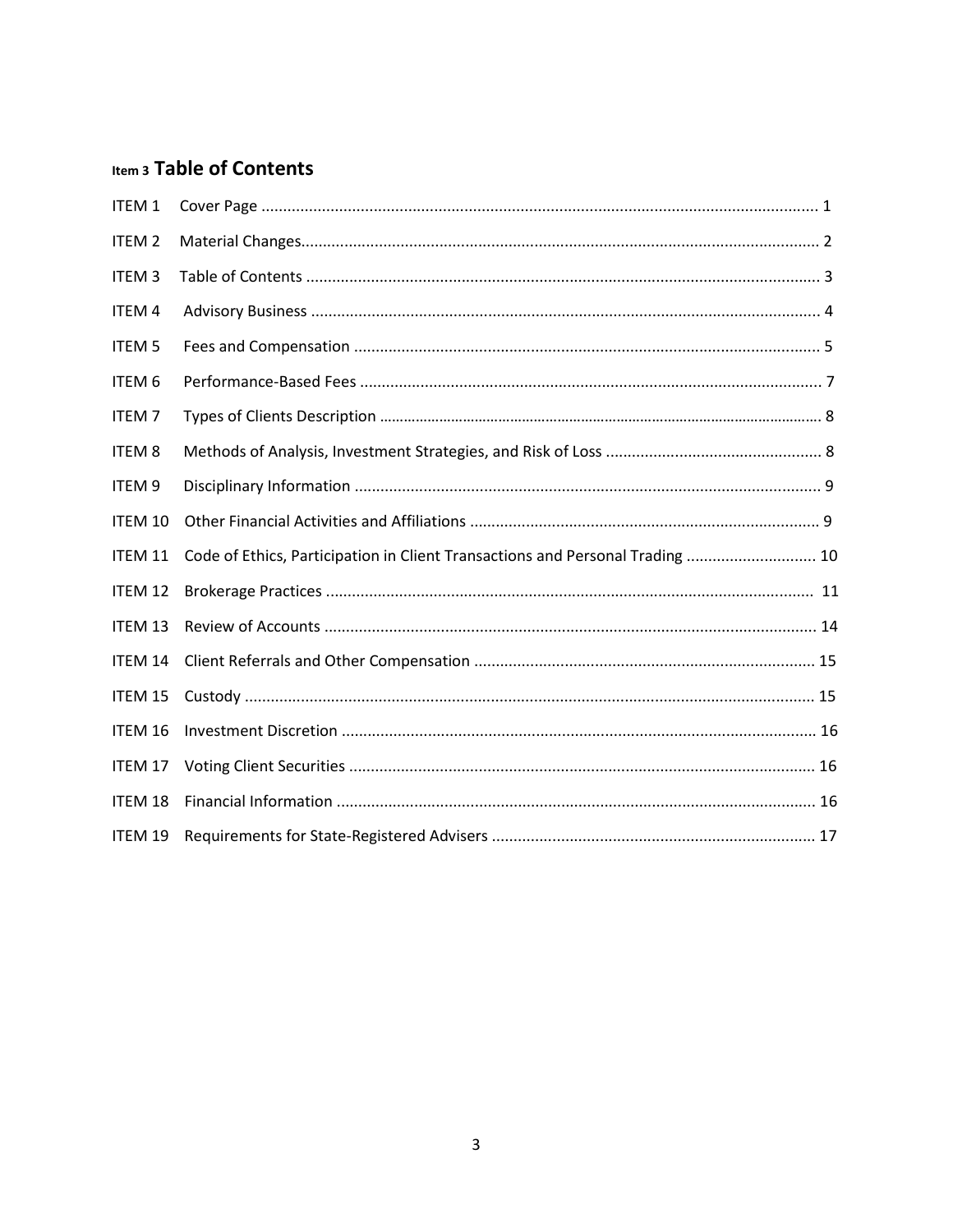# Item 3 Table of Contents

| ITEM <sub>1</sub> |                                                                               |
|-------------------|-------------------------------------------------------------------------------|
| ITEM <sub>2</sub> |                                                                               |
| <b>ITEM3</b>      |                                                                               |
| ITEM 4            |                                                                               |
| <b>ITEM 5</b>     |                                                                               |
| ITEM 6            |                                                                               |
| <b>ITEM7</b>      |                                                                               |
| <b>ITEM 8</b>     |                                                                               |
| ITEM 9            |                                                                               |
| ITEM 10           |                                                                               |
| ITEM 11           | Code of Ethics, Participation in Client Transactions and Personal Trading  10 |
| <b>ITEM 12</b>    |                                                                               |
| ITEM 13           |                                                                               |
| ITEM 14           |                                                                               |
| ITEM 15           |                                                                               |
| ITEM 16           |                                                                               |
| ITEM 17           |                                                                               |
| <b>ITEM 18</b>    |                                                                               |
| ITEM 19           |                                                                               |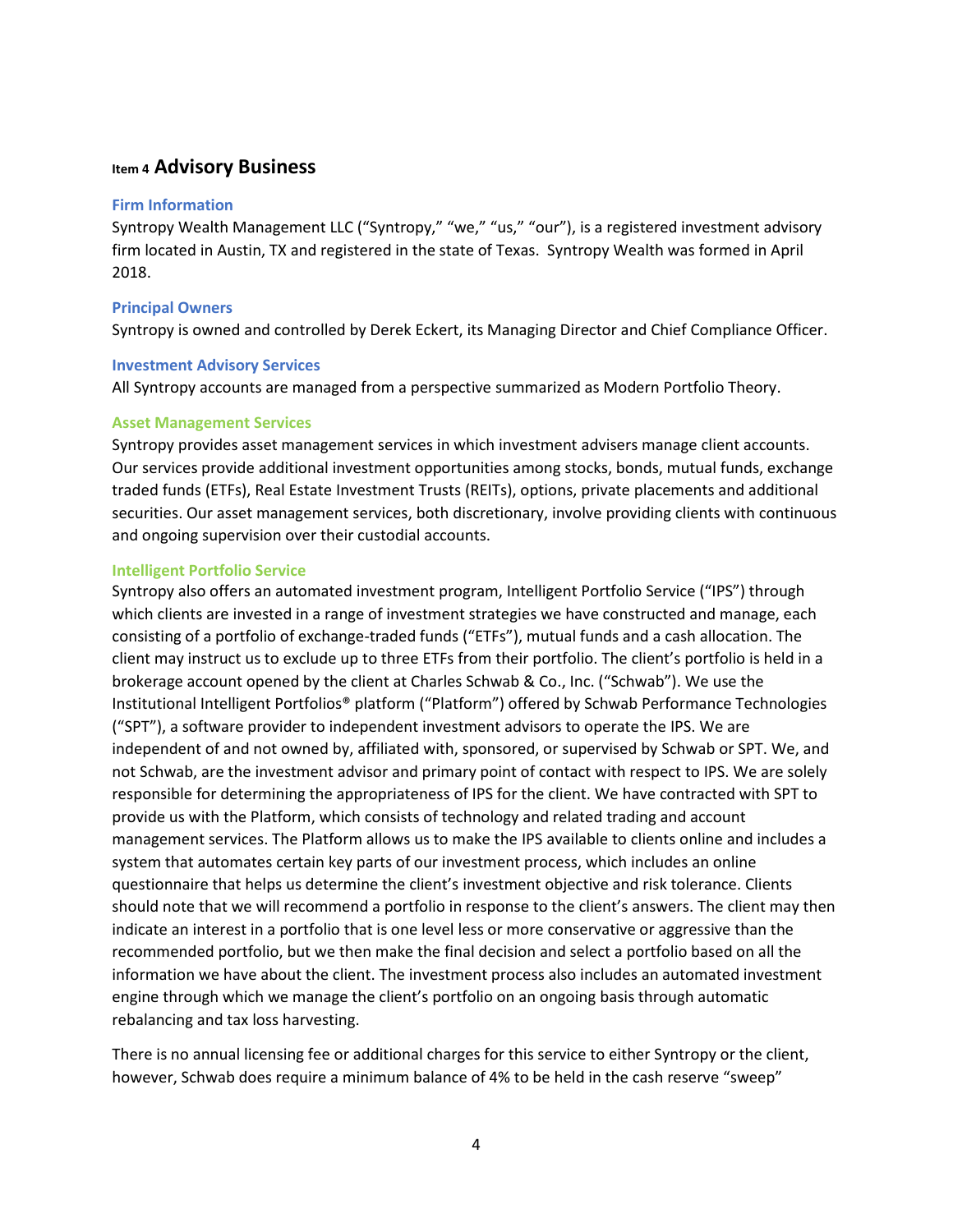## **Item 4 Advisory Business**

#### **Firm Information**

Syntropy Wealth Management LLC ("Syntropy," "we," "us," "our"), is a registered investment advisory firm located in Austin, TX and registered in the state of Texas. Syntropy Wealth was formed in April 2018.

## **Principal Owners**

Syntropy is owned and controlled by Derek Eckert, its Managing Director and Chief Compliance Officer.

#### **Investment Advisory Services**

All Syntropy accounts are managed from a perspective summarized as Modern Portfolio Theory.

#### **Asset Management Services**

Syntropy provides asset management services in which investment advisers manage client accounts. Our services provide additional investment opportunities among stocks, bonds, mutual funds, exchange traded funds (ETFs), Real Estate Investment Trusts (REITs), options, private placements and additional securities. Our asset management services, both discretionary, involve providing clients with continuous and ongoing supervision over their custodial accounts.

#### **Intelligent Portfolio Service**

Syntropy also offers an automated investment program, Intelligent Portfolio Service ("IPS") through which clients are invested in a range of investment strategies we have constructed and manage, each consisting of a portfolio of exchange-traded funds ("ETFs"), mutual funds and a cash allocation. The client may instruct us to exclude up to three ETFs from their portfolio. The client's portfolio is held in a brokerage account opened by the client at Charles Schwab & Co., Inc. ("Schwab"). We use the Institutional Intelligent Portfolios® platform ("Platform") offered by Schwab Performance Technologies ("SPT"), a software provider to independent investment advisors to operate the IPS. We are independent of and not owned by, affiliated with, sponsored, or supervised by Schwab or SPT. We, and not Schwab, are the investment advisor and primary point of contact with respect to IPS. We are solely responsible for determining the appropriateness of IPS for the client. We have contracted with SPT to provide us with the Platform, which consists of technology and related trading and account management services. The Platform allows us to make the IPS available to clients online and includes a system that automates certain key parts of our investment process, which includes an online questionnaire that helps us determine the client's investment objective and risk tolerance. Clients should note that we will recommend a portfolio in response to the client's answers. The client may then indicate an interest in a portfolio that is one level less or more conservative or aggressive than the recommended portfolio, but we then make the final decision and select a portfolio based on all the information we have about the client. The investment process also includes an automated investment engine through which we manage the client's portfolio on an ongoing basis through automatic rebalancing and tax loss harvesting.

There is no annual licensing fee or additional charges for this service to either Syntropy or the client, however, Schwab does require a minimum balance of 4% to be held in the cash reserve "sweep"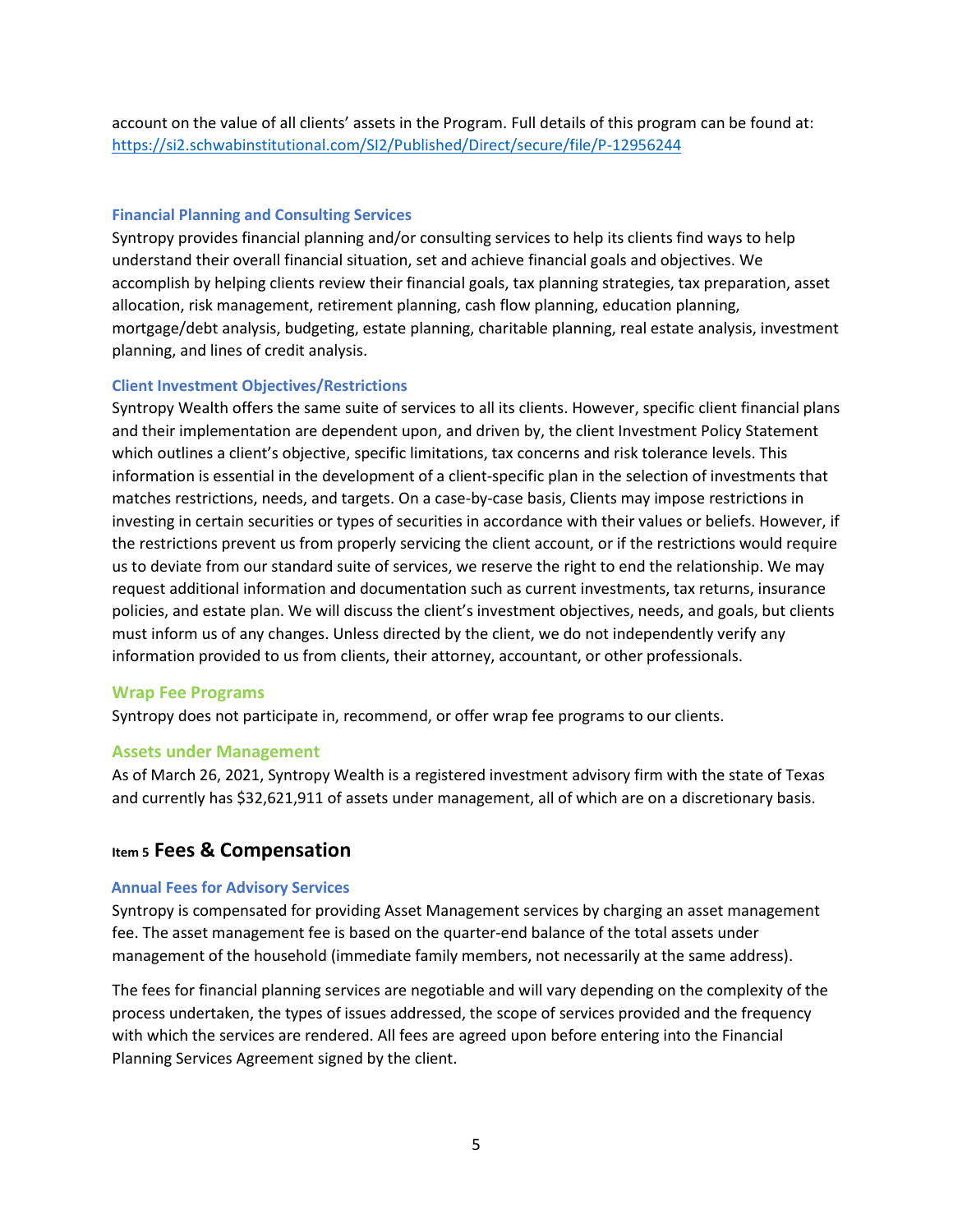account on the value of all clients' assets in the Program. Full details of this program can be found at: <https://si2.schwabinstitutional.com/SI2/Published/Direct/secure/file/P-12956244>

#### **Financial Planning and Consulting Services**

Syntropy provides financial planning and/or consulting services to help its clients find ways to help understand their overall financial situation, set and achieve financial goals and objectives. We accomplish by helping clients review their financial goals, tax planning strategies, tax preparation, asset allocation, risk management, retirement planning, cash flow planning, education planning, mortgage/debt analysis, budgeting, estate planning, charitable planning, real estate analysis, investment planning, and lines of credit analysis.

#### **Client Investment Objectives/Restrictions**

Syntropy Wealth offers the same suite of services to all its clients. However, specific client financial plans and their implementation are dependent upon, and driven by, the client Investment Policy Statement which outlines a client's objective, specific limitations, tax concerns and risk tolerance levels. This information is essential in the development of a client-specific plan in the selection of investments that matches restrictions, needs, and targets. On a case-by-case basis, Clients may impose restrictions in investing in certain securities or types of securities in accordance with their values or beliefs. However, if the restrictions prevent us from properly servicing the client account, or if the restrictions would require us to deviate from our standard suite of services, we reserve the right to end the relationship. We may request additional information and documentation such as current investments, tax returns, insurance policies, and estate plan. We will discuss the client's investment objectives, needs, and goals, but clients must inform us of any changes. Unless directed by the client, we do not independently verify any information provided to us from clients, their attorney, accountant, or other professionals.

## **Wrap Fee Programs**

Syntropy does not participate in, recommend, or offer wrap fee programs to our clients.

#### **Assets under Management**

As of March 26, 2021, Syntropy Wealth is a registered investment advisory firm with the state of Texas and currently has \$32,621,911 of assets under management, all of which are on a discretionary basis.

## **Item 5 Fees & Compensation**

#### **Annual Fees for Advisory Services**

Syntropy is compensated for providing Asset Management services by charging an asset management fee. The asset management fee is based on the quarter-end balance of the total assets under management of the household (immediate family members, not necessarily at the same address).

The fees for financial planning services are negotiable and will vary depending on the complexity of the process undertaken, the types of issues addressed, the scope of services provided and the frequency with which the services are rendered. All fees are agreed upon before entering into the Financial Planning Services Agreement signed by the client.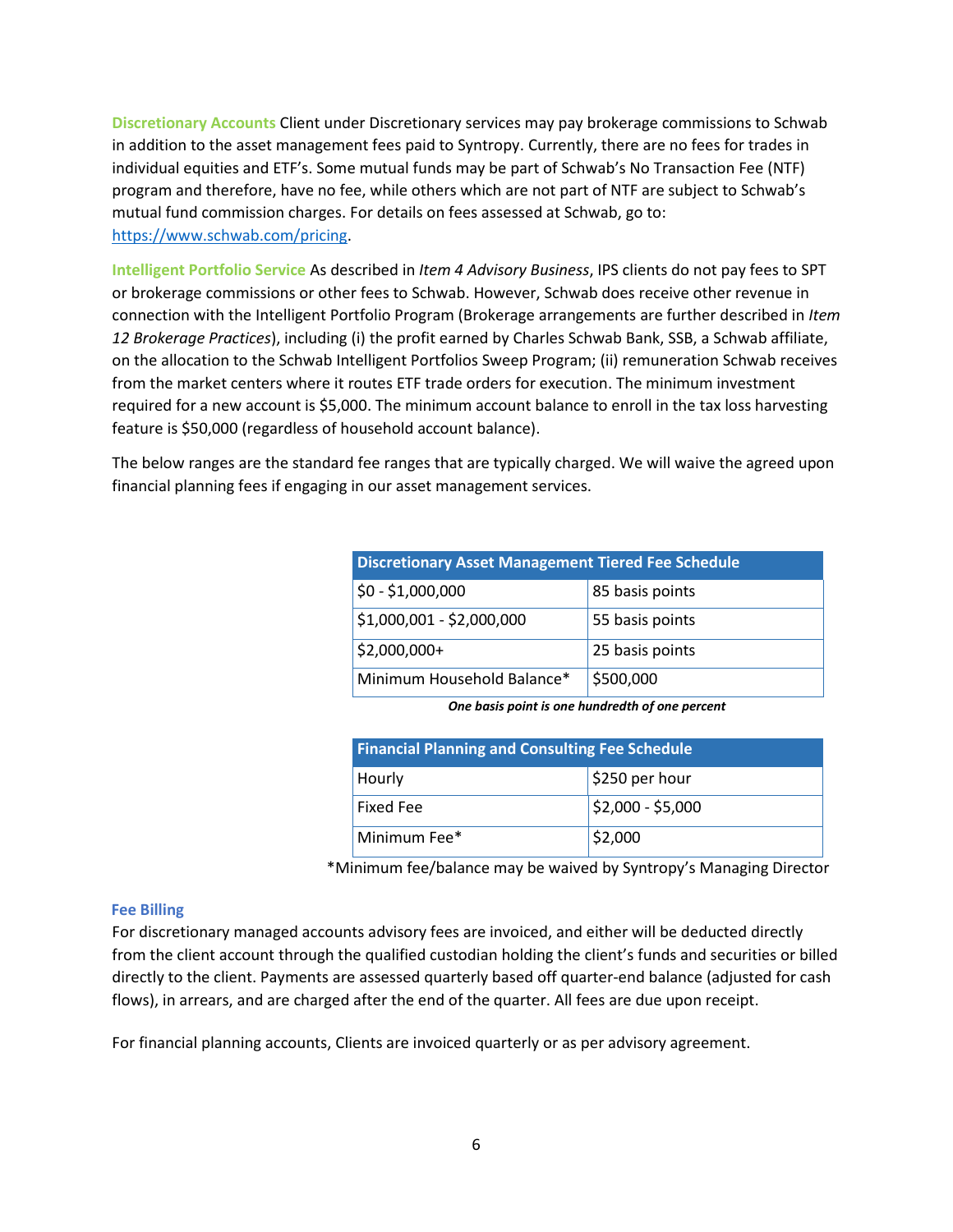**Discretionary Accounts** Client under Discretionary services may pay brokerage commissions to Schwab in addition to the asset management fees paid to Syntropy. Currently, there are no fees for trades in individual equities and ETF's. Some mutual funds may be part of Schwab's No Transaction Fee (NTF) program and therefore, have no fee, while others which are not part of NTF are subject to Schwab's mutual fund commission charges. For details on fees assessed at Schwab, go to: [https://www.schwab.com/pricing.](https://www.schwab.com/pricing)

**Intelligent Portfolio Service** As described in *Item 4 Advisory Business*, IPS clients do not pay fees to SPT or brokerage commissions or other fees to Schwab. However, Schwab does receive other revenue in connection with the Intelligent Portfolio Program (Brokerage arrangements are further described in *Item 12 Brokerage Practices*), including (i) the profit earned by Charles Schwab Bank, SSB, a Schwab affiliate, on the allocation to the Schwab Intelligent Portfolios Sweep Program; (ii) remuneration Schwab receives from the market centers where it routes ETF trade orders for execution. The minimum investment required for a new account is \$5,000. The minimum account balance to enroll in the tax loss harvesting feature is \$50,000 (regardless of household account balance).

The below ranges are the standard fee ranges that are typically charged. We will waive the agreed upon financial planning fees if engaging in our asset management services.

| <b>Discretionary Asset Management Tiered Fee Schedule</b> |                 |  |  |
|-----------------------------------------------------------|-----------------|--|--|
| $$0 - $1,000,000$                                         | 85 basis points |  |  |
| \$1,000,001 - \$2,000,000                                 | 55 basis points |  |  |
| $$2,000,000+$                                             | 25 basis points |  |  |
| Minimum Household Balance*                                | \$500,000       |  |  |

*One basis point is one hundredth of one percent*

| <b>Financial Planning and Consulting Fee Schedule</b> |                              |  |  |
|-------------------------------------------------------|------------------------------|--|--|
| Hourly                                                | $\frac{1}{2}$ \$250 per hour |  |  |
| Fixed Fee                                             | $ $2,000 - $5,000$           |  |  |
| Minimum Fee*                                          | \$2,000                      |  |  |

\*Minimum fee/balance may be waived by Syntropy's Managing Director

## **Fee Billing**

For discretionary managed accounts advisory fees are invoiced, and either will be deducted directly from the client account through the qualified custodian holding the client's funds and securities or billed directly to the client. Payments are assessed quarterly based off quarter-end balance (adjusted for cash flows), in arrears, and are charged after the end of the quarter. All fees are due upon receipt.

For financial planning accounts, Clients are invoiced quarterly or as per advisory agreement.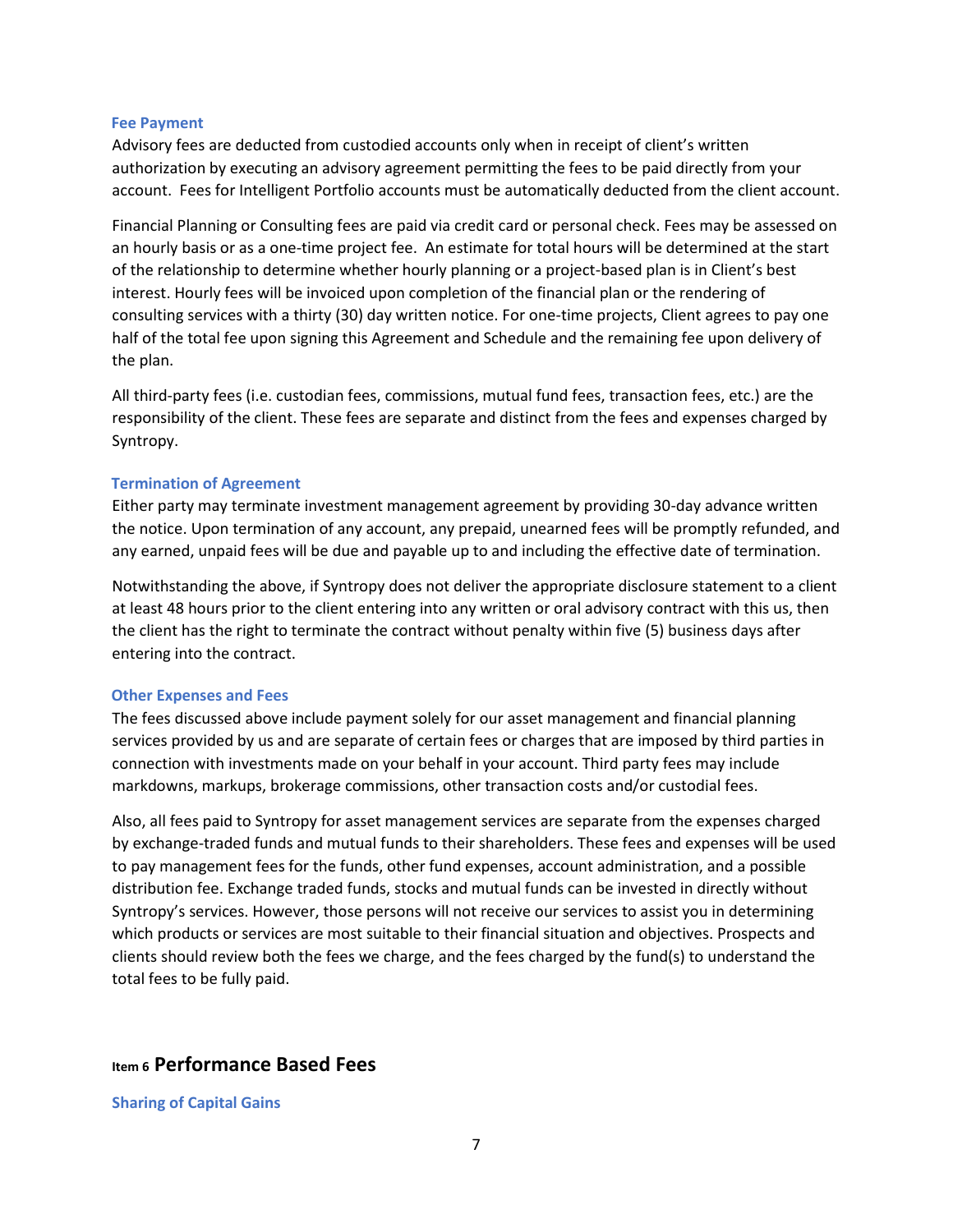#### **Fee Payment**

Advisory fees are deducted from custodied accounts only when in receipt of client's written authorization by executing an advisory agreement permitting the fees to be paid directly from your account. Fees for Intelligent Portfolio accounts must be automatically deducted from the client account.

Financial Planning or Consulting fees are paid via credit card or personal check. Fees may be assessed on an hourly basis or as a one-time project fee. An estimate for total hours will be determined at the start of the relationship to determine whether hourly planning or a project-based plan is in Client's best interest. Hourly fees will be invoiced upon completion of the financial plan or the rendering of consulting services with a thirty (30) day written notice. For one-time projects, Client agrees to pay one half of the total fee upon signing this Agreement and Schedule and the remaining fee upon delivery of the plan.

All third-party fees (i.e. custodian fees, commissions, mutual fund fees, transaction fees, etc.) are the responsibility of the client. These fees are separate and distinct from the fees and expenses charged by Syntropy.

#### **Termination of Agreement**

Either party may terminate investment management agreement by providing 30-day advance written the notice. Upon termination of any account, any prepaid, unearned fees will be promptly refunded, and any earned, unpaid fees will be due and payable up to and including the effective date of termination.

Notwithstanding the above, if Syntropy does not deliver the appropriate disclosure statement to a client at least 48 hours prior to the client entering into any written or oral advisory contract with this us, then the client has the right to terminate the contract without penalty within five (5) business days after entering into the contract.

#### **Other Expenses and Fees**

The fees discussed above include payment solely for our asset management and financial planning services provided by us and are separate of certain fees or charges that are imposed by third parties in connection with investments made on your behalf in your account. Third party fees may include markdowns, markups, brokerage commissions, other transaction costs and/or custodial fees.

Also, all fees paid to Syntropy for asset management services are separate from the expenses charged by exchange-traded funds and mutual funds to their shareholders. These fees and expenses will be used to pay management fees for the funds, other fund expenses, account administration, and a possible distribution fee. Exchange traded funds, stocks and mutual funds can be invested in directly without Syntropy's services. However, those persons will not receive our services to assist you in determining which products or services are most suitable to their financial situation and objectives. Prospects and clients should review both the fees we charge, and the fees charged by the fund(s) to understand the total fees to be fully paid.

## **Item 6 Performance Based Fees**

**Sharing of Capital Gains**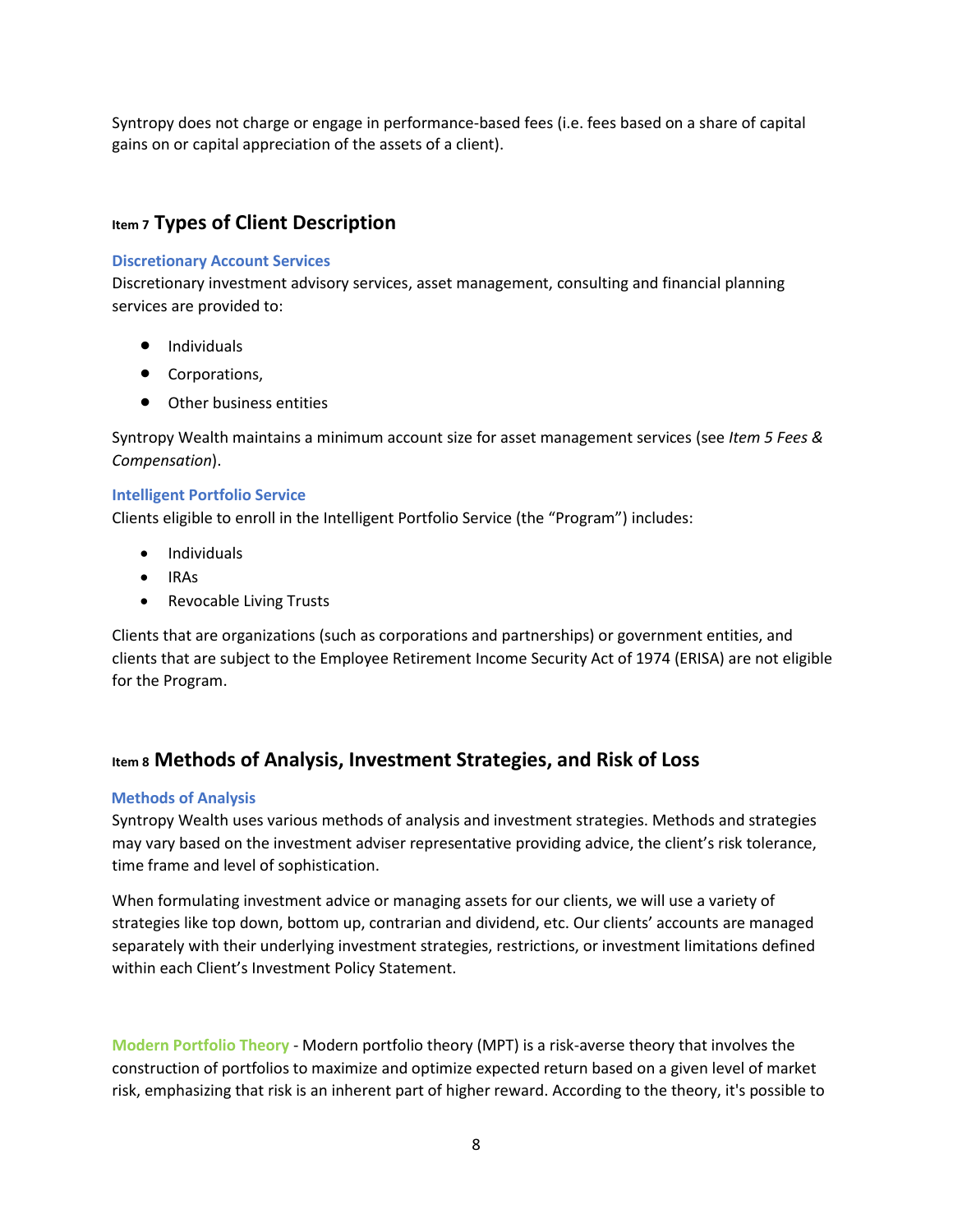Syntropy does not charge or engage in performance-based fees (i.e. fees based on a share of capital gains on or capital appreciation of the assets of a client).

## **Item 7 Types of Client Description**

#### **Discretionary Account Services**

Discretionary investment advisory services, asset management, consulting and financial planning services are provided to:

- Individuals
- Corporations,
- Other business entities

Syntropy Wealth maintains a minimum account size for asset management services (see *Item 5 Fees & Compensation*).

#### **Intelligent Portfolio Service**

Clients eligible to enroll in the Intelligent Portfolio Service (the "Program") includes:

- Individuals
- IRAs
- Revocable Living Trusts

Clients that are organizations (such as corporations and partnerships) or government entities, and clients that are subject to the Employee Retirement Income Security Act of 1974 (ERISA) are not eligible for the Program.

# **Item 8 Methods of Analysis, Investment Strategies, and Risk of Loss**

## **Methods of Analysis**

Syntropy Wealth uses various methods of analysis and investment strategies. Methods and strategies may vary based on the investment adviser representative providing advice, the client's risk tolerance, time frame and level of sophistication.

When formulating investment advice or managing assets for our clients, we will use a variety of strategies like top down, bottom up, contrarian and dividend, etc. Our clients' accounts are managed separately with their underlying investment strategies, restrictions, or investment limitations defined within each Client's Investment Policy Statement.

**Modern Portfolio Theory** - Modern portfolio theory (MPT) is a risk-averse theory that involves the construction of portfolios to maximize and optimize expected return based on a given level of market risk, emphasizing that risk is an inherent part of higher reward. According to the theory, it's possible to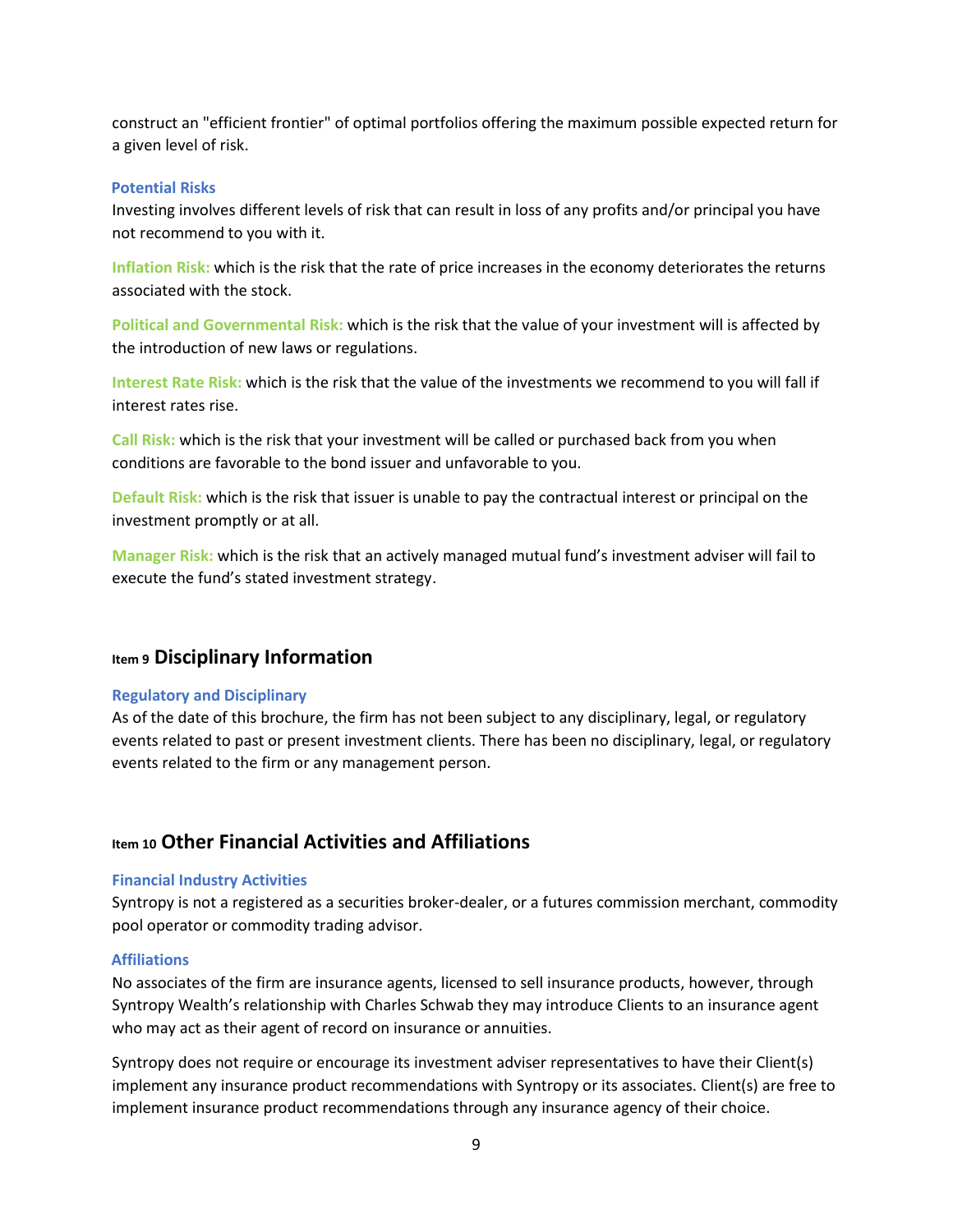construct an "efficient frontier" of optimal portfolios offering the maximum possible expected return for a given level of risk.

#### **Potential Risks**

Investing involves different levels of risk that can result in loss of any profits and/or principal you have not recommend to you with it.

**Inflation Risk:** which is the risk that the rate of price increases in the economy deteriorates the returns associated with the stock.

**Political and Governmental Risk:** which is the risk that the value of your investment will is affected by the introduction of new laws or regulations.

**Interest Rate Risk:** which is the risk that the value of the investments we recommend to you will fall if interest rates rise.

**Call Risk:** which is the risk that your investment will be called or purchased back from you when conditions are favorable to the bond issuer and unfavorable to you.

**Default Risk:** which is the risk that issuer is unable to pay the contractual interest or principal on the investment promptly or at all.

**Manager Risk:** which is the risk that an actively managed mutual fund's investment adviser will fail to execute the fund's stated investment strategy.

## **Item 9 Disciplinary Information**

#### **Regulatory and Disciplinary**

As of the date of this brochure, the firm has not been subject to any disciplinary, legal, or regulatory events related to past or present investment clients. There has been no disciplinary, legal, or regulatory events related to the firm or any management person.

## **Item 10 Other Financial Activities and Affiliations**

#### **Financial Industry Activities**

Syntropy is not a registered as a securities broker-dealer, or a futures commission merchant, commodity pool operator or commodity trading advisor.

#### **Affiliations**

No associates of the firm are insurance agents, licensed to sell insurance products, however, through Syntropy Wealth's relationship with Charles Schwab they may introduce Clients to an insurance agent who may act as their agent of record on insurance or annuities.

Syntropy does not require or encourage its investment adviser representatives to have their Client(s) implement any insurance product recommendations with Syntropy or its associates. Client(s) are free to implement insurance product recommendations through any insurance agency of their choice.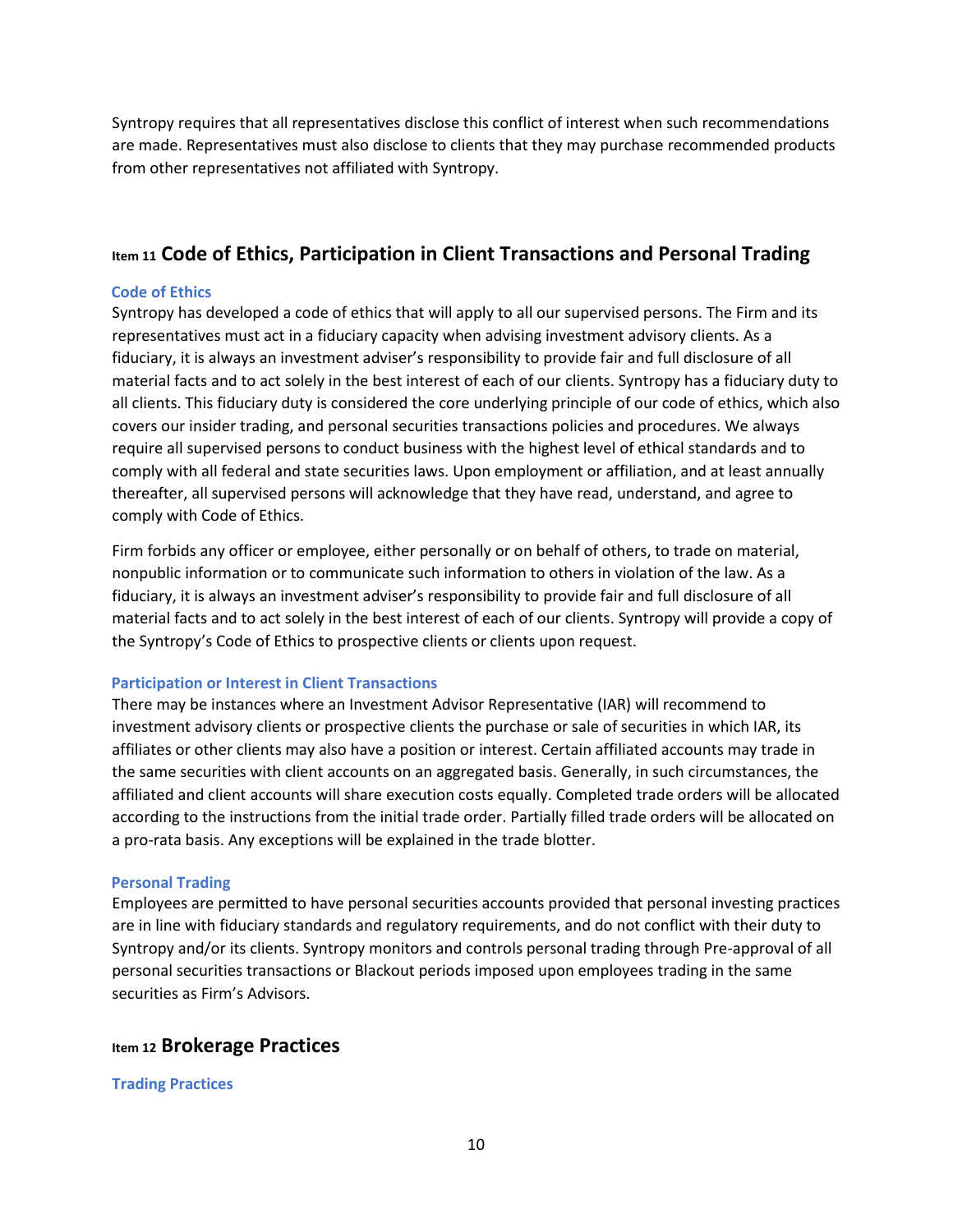Syntropy requires that all representatives disclose this conflict of interest when such recommendations are made. Representatives must also disclose to clients that they may purchase recommended products from other representatives not affiliated with Syntropy.

# **Item 11 Code of Ethics, Participation in Client Transactions and Personal Trading**

## **Code of Ethics**

Syntropy has developed a code of ethics that will apply to all our supervised persons. The Firm and its representatives must act in a fiduciary capacity when advising investment advisory clients. As a fiduciary, it is always an investment adviser's responsibility to provide fair and full disclosure of all material facts and to act solely in the best interest of each of our clients. Syntropy has a fiduciary duty to all clients. This fiduciary duty is considered the core underlying principle of our code of ethics, which also covers our insider trading, and personal securities transactions policies and procedures. We always require all supervised persons to conduct business with the highest level of ethical standards and to comply with all federal and state securities laws. Upon employment or affiliation, and at least annually thereafter, all supervised persons will acknowledge that they have read, understand, and agree to comply with Code of Ethics.

Firm forbids any officer or employee, either personally or on behalf of others, to trade on material, nonpublic information or to communicate such information to others in violation of the law. As a fiduciary, it is always an investment adviser's responsibility to provide fair and full disclosure of all material facts and to act solely in the best interest of each of our clients. Syntropy will provide a copy of the Syntropy's Code of Ethics to prospective clients or clients upon request.

## **Participation or Interest in Client Transactions**

There may be instances where an Investment Advisor Representative (IAR) will recommend to investment advisory clients or prospective clients the purchase or sale of securities in which IAR, its affiliates or other clients may also have a position or interest. Certain affiliated accounts may trade in the same securities with client accounts on an aggregated basis. Generally, in such circumstances, the affiliated and client accounts will share execution costs equally. Completed trade orders will be allocated according to the instructions from the initial trade order. Partially filled trade orders will be allocated on a pro-rata basis. Any exceptions will be explained in the trade blotter.

#### **Personal Trading**

Employees are permitted to have personal securities accounts provided that personal investing practices are in line with fiduciary standards and regulatory requirements, and do not conflict with their duty to Syntropy and/or its clients. Syntropy monitors and controls personal trading through Pre-approval of all personal securities transactions or Blackout periods imposed upon employees trading in the same securities as Firm's Advisors.

## **Item 12 Brokerage Practices**

#### **Trading Practices**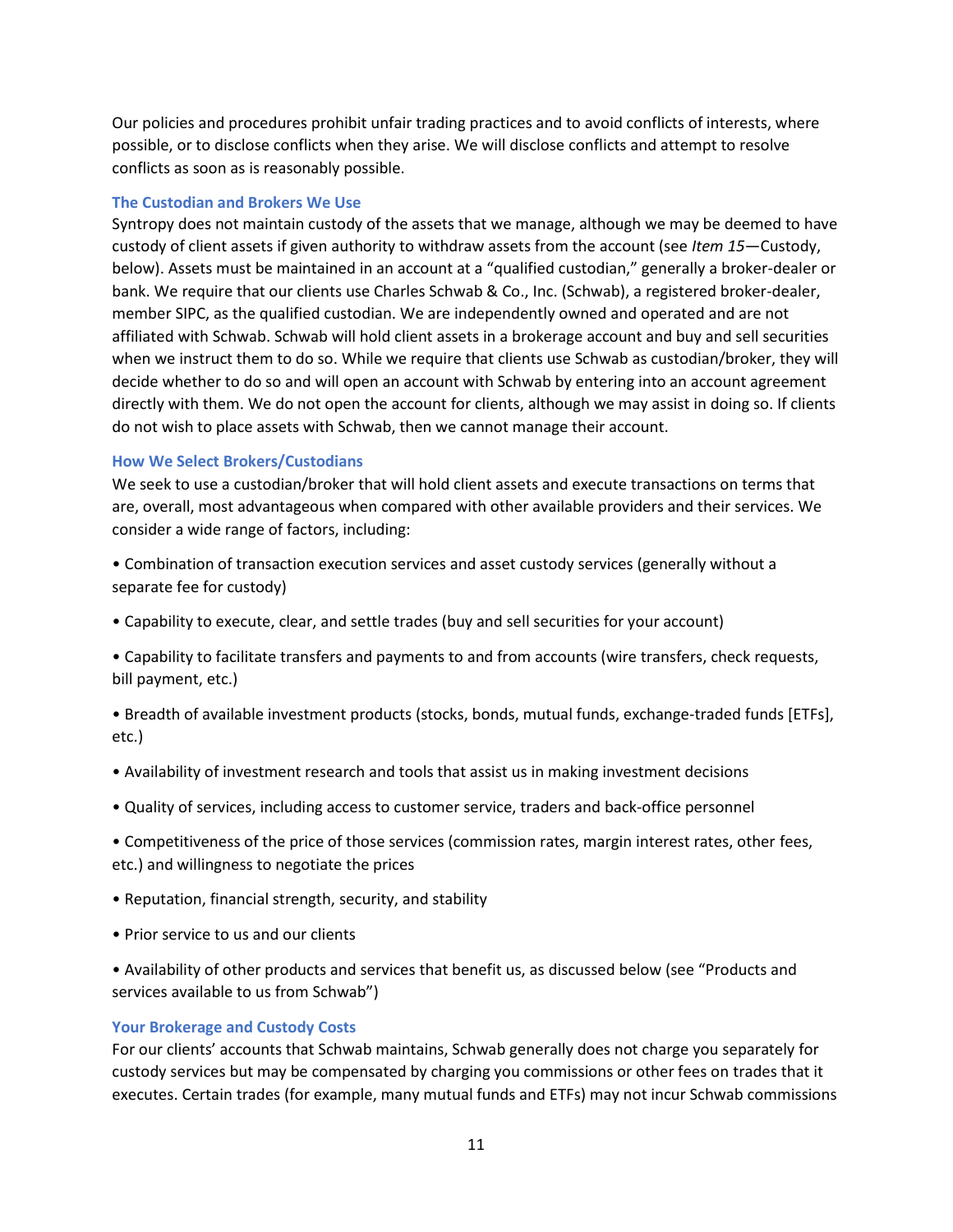Our policies and procedures prohibit unfair trading practices and to avoid conflicts of interests, where possible, or to disclose conflicts when they arise. We will disclose conflicts and attempt to resolve conflicts as soon as is reasonably possible.

#### **The Custodian and Brokers We Use**

Syntropy does not maintain custody of the assets that we manage, although we may be deemed to have custody of client assets if given authority to withdraw assets from the account (see *Item 15*—Custody, below). Assets must be maintained in an account at a "qualified custodian," generally a broker-dealer or bank. We require that our clients use Charles Schwab & Co., Inc. (Schwab), a registered broker-dealer, member SIPC, as the qualified custodian. We are independently owned and operated and are not affiliated with Schwab. Schwab will hold client assets in a brokerage account and buy and sell securities when we instruct them to do so. While we require that clients use Schwab as custodian/broker, they will decide whether to do so and will open an account with Schwab by entering into an account agreement directly with them. We do not open the account for clients, although we may assist in doing so. If clients do not wish to place assets with Schwab, then we cannot manage their account.

#### **How We Select Brokers/Custodians**

We seek to use a custodian/broker that will hold client assets and execute transactions on terms that are, overall, most advantageous when compared with other available providers and their services. We consider a wide range of factors, including:

• Combination of transaction execution services and asset custody services (generally without a separate fee for custody)

• Capability to execute, clear, and settle trades (buy and sell securities for your account)

• Capability to facilitate transfers and payments to and from accounts (wire transfers, check requests, bill payment, etc.)

• Breadth of available investment products (stocks, bonds, mutual funds, exchange-traded funds [ETFs], etc.)

- Availability of investment research and tools that assist us in making investment decisions
- Quality of services, including access to customer service, traders and back-office personnel

• Competitiveness of the price of those services (commission rates, margin interest rates, other fees, etc.) and willingness to negotiate the prices

- Reputation, financial strength, security, and stability
- Prior service to us and our clients

• Availability of other products and services that benefit us, as discussed below (see "Products and services available to us from Schwab")

#### **Your Brokerage and Custody Costs**

For our clients' accounts that Schwab maintains, Schwab generally does not charge you separately for custody services but may be compensated by charging you commissions or other fees on trades that it executes. Certain trades (for example, many mutual funds and ETFs) may not incur Schwab commissions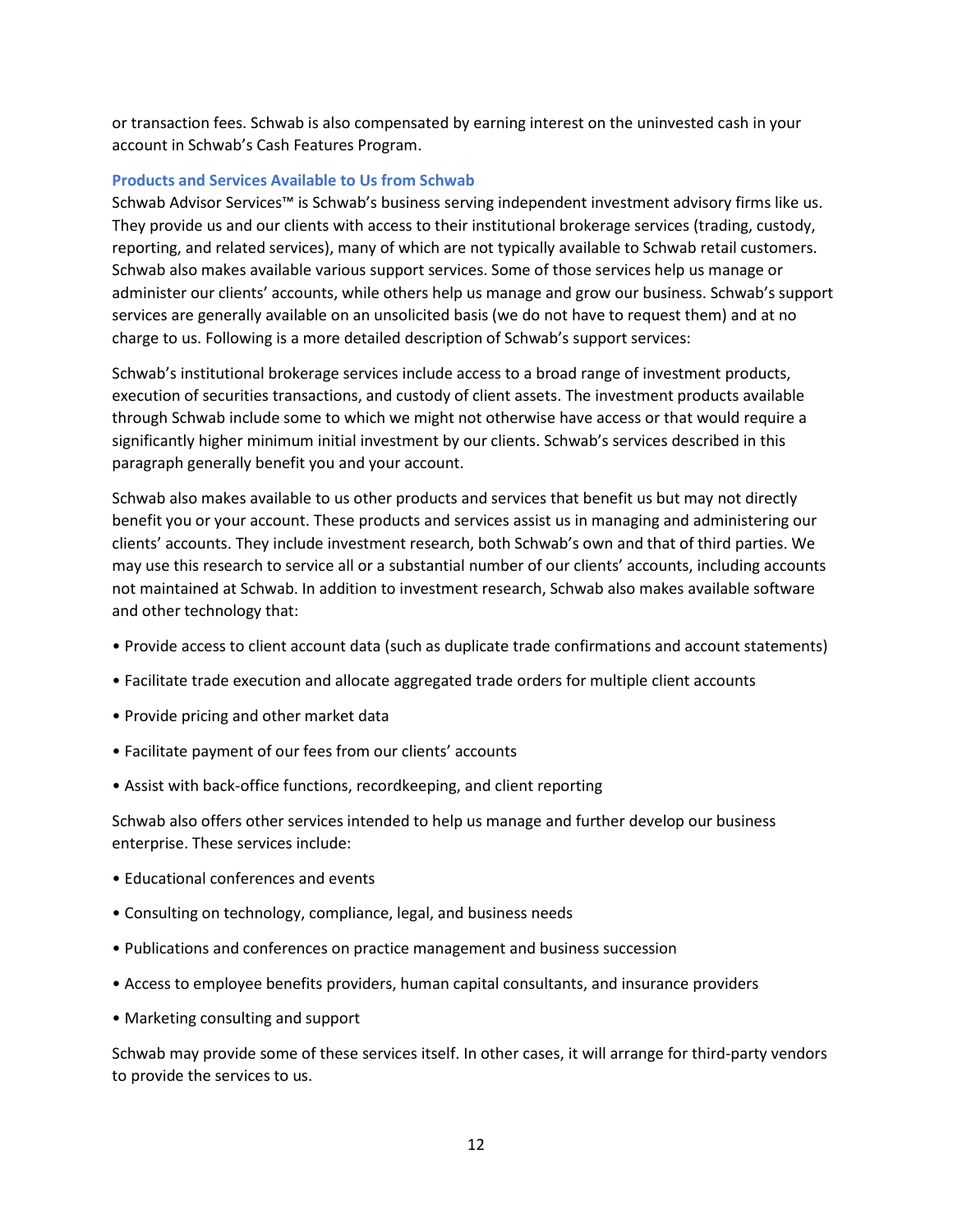or transaction fees. Schwab is also compensated by earning interest on the uninvested cash in your account in Schwab's Cash Features Program.

#### **Products and Services Available to Us from Schwab**

Schwab Advisor Services™ is Schwab's business serving independent investment advisory firms like us. They provide us and our clients with access to their institutional brokerage services (trading, custody, reporting, and related services), many of which are not typically available to Schwab retail customers. Schwab also makes available various support services. Some of those services help us manage or administer our clients' accounts, while others help us manage and grow our business. Schwab's support services are generally available on an unsolicited basis (we do not have to request them) and at no charge to us. Following is a more detailed description of Schwab's support services:

Schwab's institutional brokerage services include access to a broad range of investment products, execution of securities transactions, and custody of client assets. The investment products available through Schwab include some to which we might not otherwise have access or that would require a significantly higher minimum initial investment by our clients. Schwab's services described in this paragraph generally benefit you and your account.

Schwab also makes available to us other products and services that benefit us but may not directly benefit you or your account. These products and services assist us in managing and administering our clients' accounts. They include investment research, both Schwab's own and that of third parties. We may use this research to service all or a substantial number of our clients' accounts, including accounts not maintained at Schwab. In addition to investment research, Schwab also makes available software and other technology that:

- Provide access to client account data (such as duplicate trade confirmations and account statements)
- Facilitate trade execution and allocate aggregated trade orders for multiple client accounts
- Provide pricing and other market data
- Facilitate payment of our fees from our clients' accounts
- Assist with back-office functions, recordkeeping, and client reporting

Schwab also offers other services intended to help us manage and further develop our business enterprise. These services include:

- Educational conferences and events
- Consulting on technology, compliance, legal, and business needs
- Publications and conferences on practice management and business succession
- Access to employee benefits providers, human capital consultants, and insurance providers
- Marketing consulting and support

Schwab may provide some of these services itself. In other cases, it will arrange for third-party vendors to provide the services to us.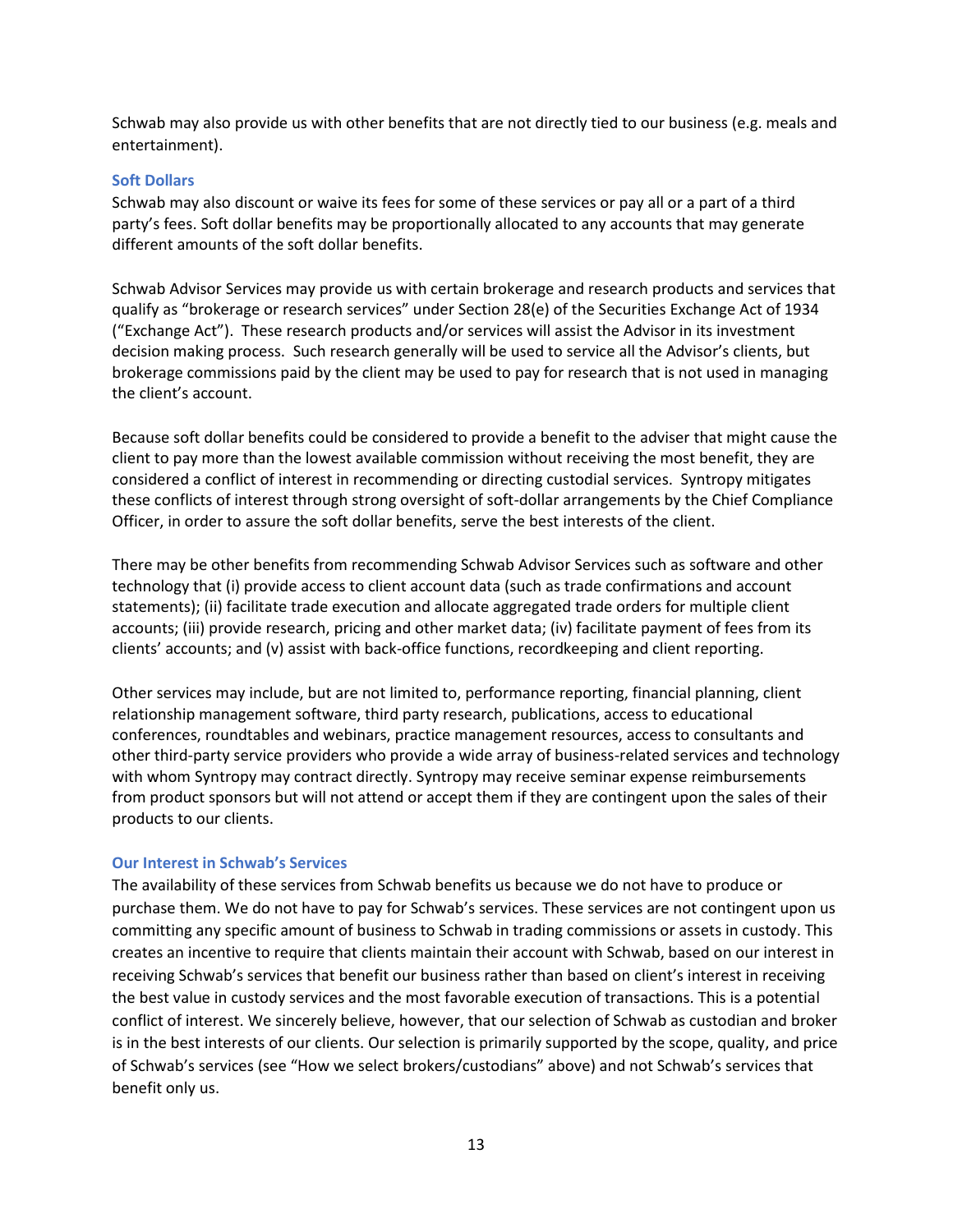Schwab may also provide us with other benefits that are not directly tied to our business (e.g. meals and entertainment).

#### **Soft Dollars**

Schwab may also discount or waive its fees for some of these services or pay all or a part of a third party's fees. Soft dollar benefits may be proportionally allocated to any accounts that may generate different amounts of the soft dollar benefits.

Schwab Advisor Services may provide us with certain brokerage and research products and services that qualify as "brokerage or research services" under Section 28(e) of the Securities Exchange Act of 1934 ("Exchange Act"). These research products and/or services will assist the Advisor in its investment decision making process. Such research generally will be used to service all the Advisor's clients, but brokerage commissions paid by the client may be used to pay for research that is not used in managing the client's account.

Because soft dollar benefits could be considered to provide a benefit to the adviser that might cause the client to pay more than the lowest available commission without receiving the most benefit, they are considered a conflict of interest in recommending or directing custodial services. Syntropy mitigates these conflicts of interest through strong oversight of soft-dollar arrangements by the Chief Compliance Officer, in order to assure the soft dollar benefits, serve the best interests of the client.

There may be other benefits from recommending Schwab Advisor Services such as software and other technology that (i) provide access to client account data (such as trade confirmations and account statements); (ii) facilitate trade execution and allocate aggregated trade orders for multiple client accounts; (iii) provide research, pricing and other market data; (iv) facilitate payment of fees from its clients' accounts; and (v) assist with back-office functions, recordkeeping and client reporting.

Other services may include, but are not limited to, performance reporting, financial planning, client relationship management software, third party research, publications, access to educational conferences, roundtables and webinars, practice management resources, access to consultants and other third-party service providers who provide a wide array of business-related services and technology with whom Syntropy may contract directly. Syntropy may receive seminar expense reimbursements from product sponsors but will not attend or accept them if they are contingent upon the sales of their products to our clients.

#### **Our Interest in Schwab's Services**

The availability of these services from Schwab benefits us because we do not have to produce or purchase them. We do not have to pay for Schwab's services. These services are not contingent upon us committing any specific amount of business to Schwab in trading commissions or assets in custody. This creates an incentive to require that clients maintain their account with Schwab, based on our interest in receiving Schwab's services that benefit our business rather than based on client's interest in receiving the best value in custody services and the most favorable execution of transactions. This is a potential conflict of interest. We sincerely believe, however, that our selection of Schwab as custodian and broker is in the best interests of our clients. Our selection is primarily supported by the scope, quality, and price of Schwab's services (see "How we select brokers/custodians" above) and not Schwab's services that benefit only us.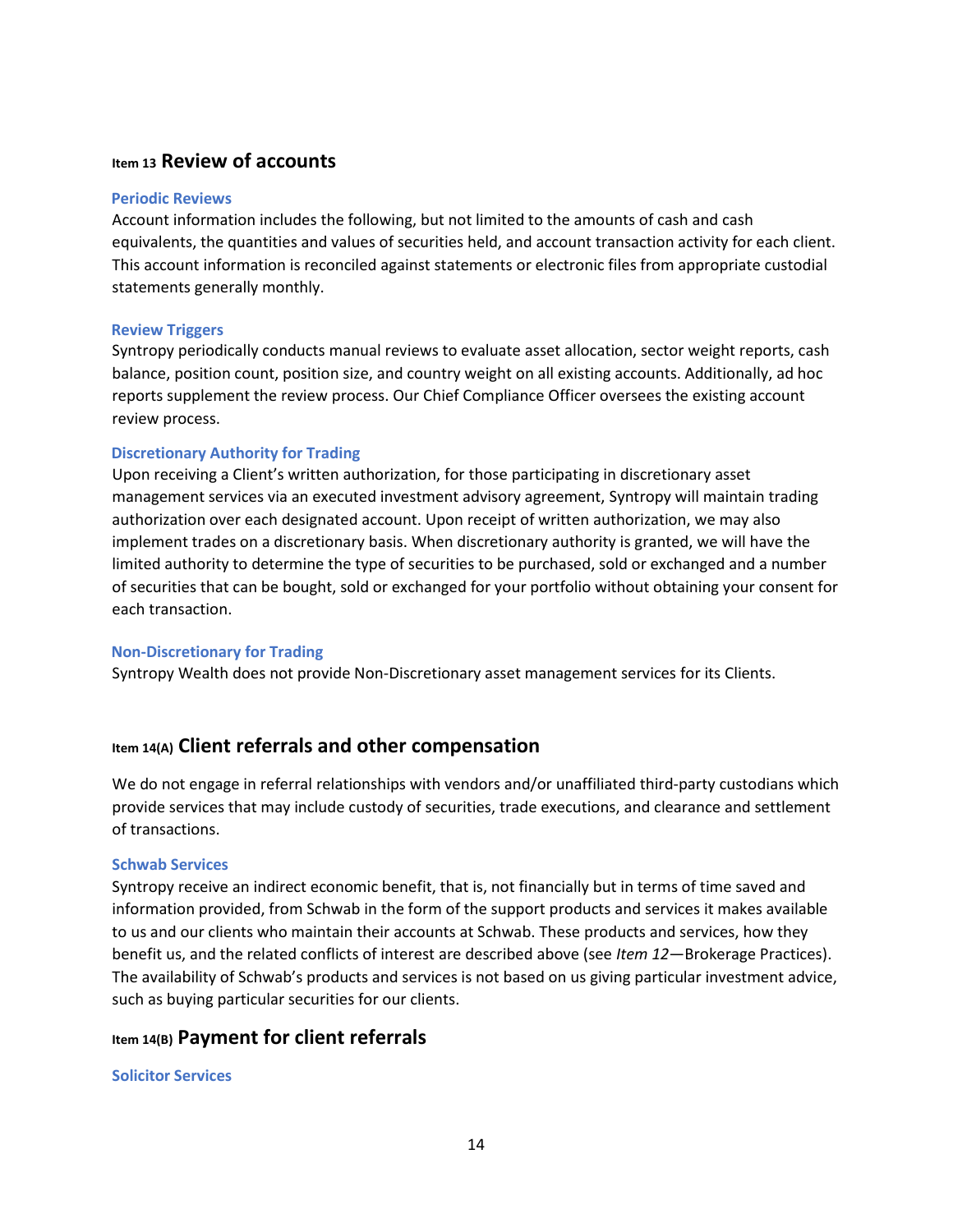## **Item 13 Review of accounts**

#### **Periodic Reviews**

Account information includes the following, but not limited to the amounts of cash and cash equivalents, the quantities and values of securities held, and account transaction activity for each client. This account information is reconciled against statements or electronic files from appropriate custodial statements generally monthly.

## **Review Triggers**

Syntropy periodically conducts manual reviews to evaluate asset allocation, sector weight reports, cash balance, position count, position size, and country weight on all existing accounts. Additionally, ad hoc reports supplement the review process. Our Chief Compliance Officer oversees the existing account review process.

## **Discretionary Authority for Trading**

Upon receiving a Client's written authorization, for those participating in discretionary asset management services via an executed investment advisory agreement, Syntropy will maintain trading authorization over each designated account. Upon receipt of written authorization, we may also implement trades on a discretionary basis. When discretionary authority is granted, we will have the limited authority to determine the type of securities to be purchased, sold or exchanged and a number of securities that can be bought, sold or exchanged for your portfolio without obtaining your consent for each transaction.

#### **Non-Discretionary for Trading**

Syntropy Wealth does not provide Non-Discretionary asset management services for its Clients.

# **Item 14(A) Client referrals and other compensation**

We do not engage in referral relationships with vendors and/or unaffiliated third-party custodians which provide services that may include custody of securities, trade executions, and clearance and settlement of transactions.

#### **Schwab Services**

Syntropy receive an indirect economic benefit, that is, not financially but in terms of time saved and information provided, from Schwab in the form of the support products and services it makes available to us and our clients who maintain their accounts at Schwab. These products and services, how they benefit us, and the related conflicts of interest are described above (see *Item 12*—Brokerage Practices). The availability of Schwab's products and services is not based on us giving particular investment advice, such as buying particular securities for our clients.

## **Item 14(B) Payment for client referrals**

#### **Solicitor Services**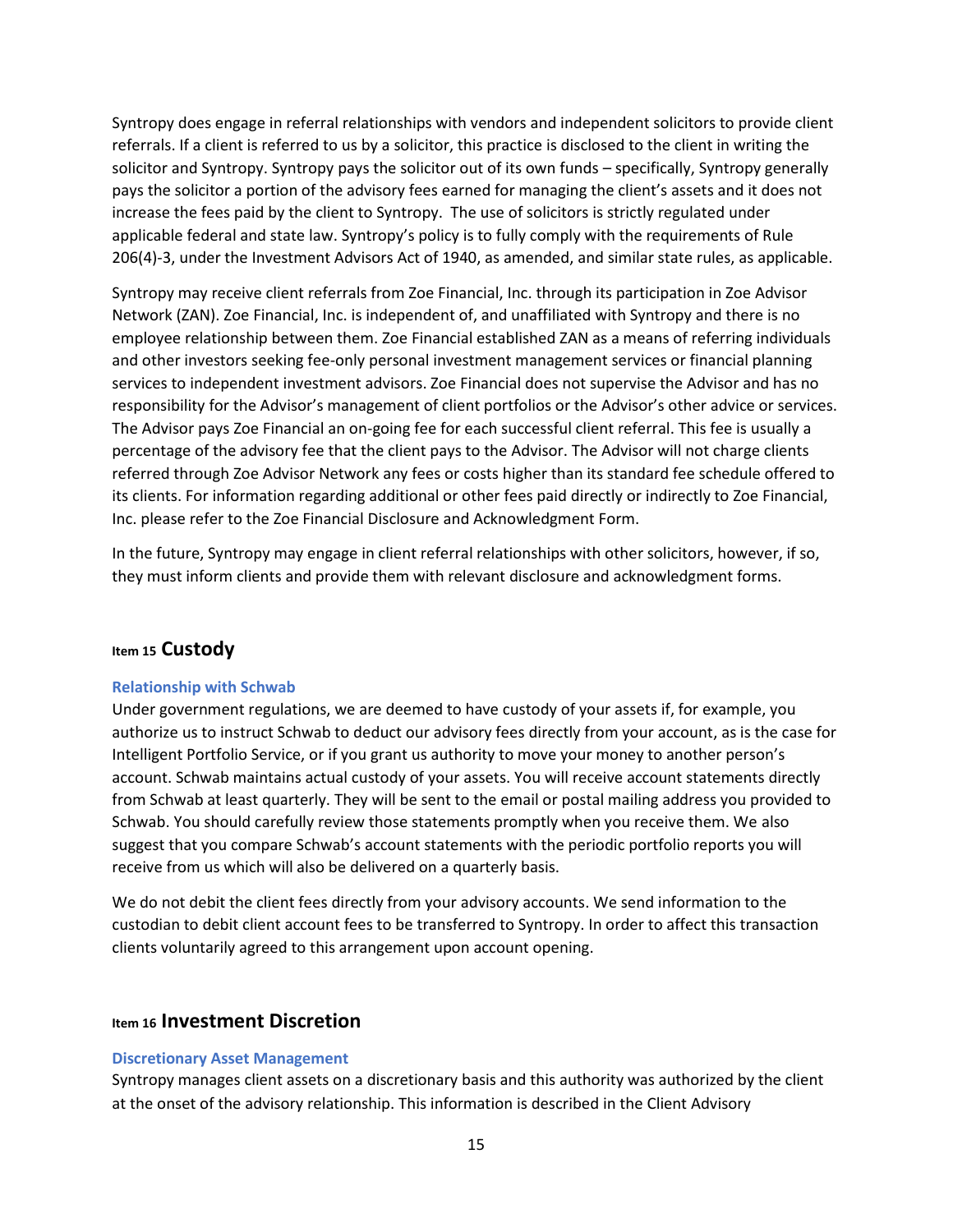Syntropy does engage in referral relationships with vendors and independent solicitors to provide client referrals. If a client is referred to us by a solicitor, this practice is disclosed to the client in writing the solicitor and Syntropy. Syntropy pays the solicitor out of its own funds – specifically, Syntropy generally pays the solicitor a portion of the advisory fees earned for managing the client's assets and it does not increase the fees paid by the client to Syntropy. The use of solicitors is strictly regulated under applicable federal and state law. Syntropy's policy is to fully comply with the requirements of Rule 206(4)-3, under the Investment Advisors Act of 1940, as amended, and similar state rules, as applicable.

Syntropy may receive client referrals from Zoe Financial, Inc. through its participation in Zoe Advisor Network (ZAN). Zoe Financial, Inc. is independent of, and unaffiliated with Syntropy and there is no employee relationship between them. Zoe Financial established ZAN as a means of referring individuals and other investors seeking fee-only personal investment management services or financial planning services to independent investment advisors. Zoe Financial does not supervise the Advisor and has no responsibility for the Advisor's management of client portfolios or the Advisor's other advice or services. The Advisor pays Zoe Financial an on-going fee for each successful client referral. This fee is usually a percentage of the advisory fee that the client pays to the Advisor. The Advisor will not charge clients referred through Zoe Advisor Network any fees or costs higher than its standard fee schedule offered to its clients. For information regarding additional or other fees paid directly or indirectly to Zoe Financial, Inc. please refer to the Zoe Financial Disclosure and Acknowledgment Form.

In the future, Syntropy may engage in client referral relationships with other solicitors, however, if so, they must inform clients and provide them with relevant disclosure and acknowledgment forms.

## **Item 15 Custody**

#### **Relationship with Schwab**

Under government regulations, we are deemed to have custody of your assets if, for example, you authorize us to instruct Schwab to deduct our advisory fees directly from your account, as is the case for Intelligent Portfolio Service, or if you grant us authority to move your money to another person's account. Schwab maintains actual custody of your assets. You will receive account statements directly from Schwab at least quarterly. They will be sent to the email or postal mailing address you provided to Schwab. You should carefully review those statements promptly when you receive them. We also suggest that you compare Schwab's account statements with the periodic portfolio reports you will receive from us which will also be delivered on a quarterly basis.

We do not debit the client fees directly from your advisory accounts. We send information to the custodian to debit client account fees to be transferred to Syntropy. In order to affect this transaction clients voluntarily agreed to this arrangement upon account opening.

## **Item 16 Investment Discretion**

#### **Discretionary Asset Management**

Syntropy manages client assets on a discretionary basis and this authority was authorized by the client at the onset of the advisory relationship. This information is described in the Client Advisory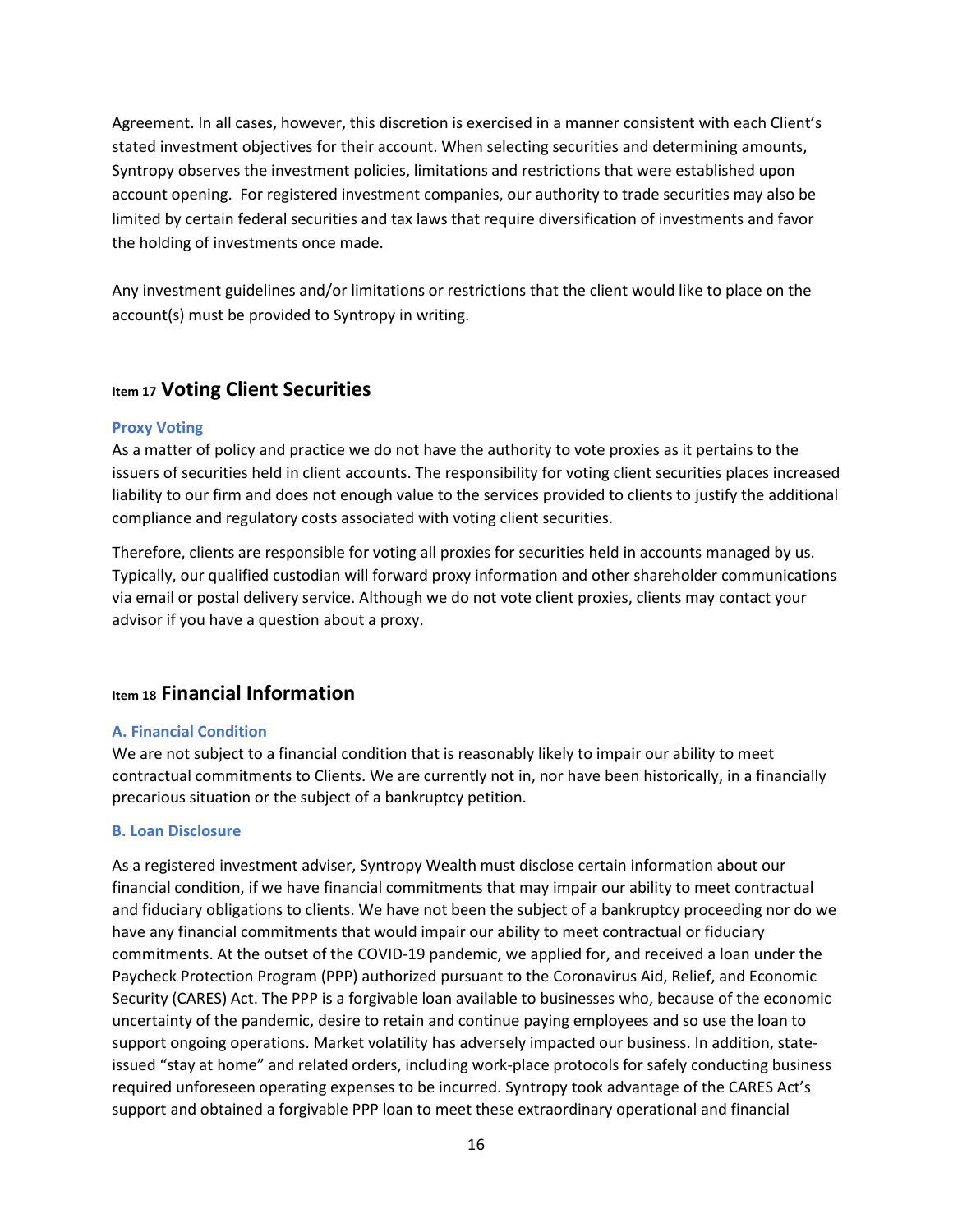Agreement. In all cases, however, this discretion is exercised in a manner consistent with each Client's stated investment objectives for their account. When selecting securities and determining amounts, Syntropy observes the investment policies, limitations and restrictions that were established upon account opening. For registered investment companies, our authority to trade securities may also be limited by certain federal securities and tax laws that require diversification of investments and favor the holding of investments once made.

Any investment guidelines and/or limitations or restrictions that the client would like to place on the account(s) must be provided to Syntropy in writing.

## **Item 17 Voting Client Securities**

#### **Proxy Voting**

As a matter of policy and practice we do not have the authority to vote proxies as it pertains to the issuers of securities held in client accounts. The responsibility for voting client securities places increased liability to our firm and does not enough value to the services provided to clients to justify the additional compliance and regulatory costs associated with voting client securities.

Therefore, clients are responsible for voting all proxies for securities held in accounts managed by us. Typically, our qualified custodian will forward proxy information and other shareholder communications via email or postal delivery service. Although we do not vote client proxies, clients may contact your advisor if you have a question about a proxy.

## **Item 18 Financial Information**

## **A. Financial Condition**

We are not subject to a financial condition that is reasonably likely to impair our ability to meet contractual commitments to Clients. We are currently not in, nor have been historically, in a financially precarious situation or the subject of a bankruptcy petition.

#### **B. Loan Disclosure**

As a registered investment adviser, Syntropy Wealth must disclose certain information about our financial condition, if we have financial commitments that may impair our ability to meet contractual and fiduciary obligations to clients. We have not been the subject of a bankruptcy proceeding nor do we have any financial commitments that would impair our ability to meet contractual or fiduciary commitments. At the outset of the COVID-19 pandemic, we applied for, and received a loan under the Paycheck Protection Program (PPP) authorized pursuant to the Coronavirus Aid, Relief, and Economic Security (CARES) Act. The PPP is a forgivable loan available to businesses who, because of the economic uncertainty of the pandemic, desire to retain and continue paying employees and so use the loan to support ongoing operations. Market volatility has adversely impacted our business. In addition, stateissued "stay at home" and related orders, including work-place protocols for safely conducting business required unforeseen operating expenses to be incurred. Syntropy took advantage of the CARES Act's support and obtained a forgivable PPP loan to meet these extraordinary operational and financial